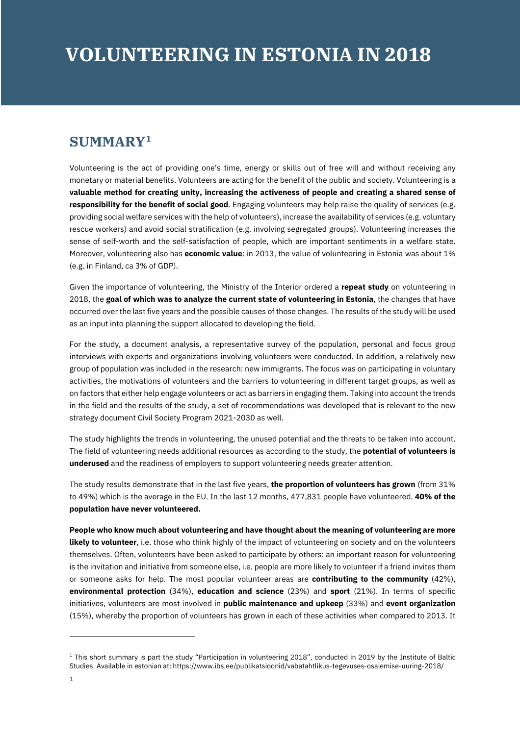## **SUMMARY[1](#page-0-0)**

Volunteering is the act of providing one's time, energy or skills out of free will and without receiving any monetary or material benefits. Volunteers are acting for the benefit of the public and society. Volunteering is a **valuable method for creating unity, increasing the activeness of people and creating a shared sense of responsibility for the benefit of social good**. Engaging volunteers may help raise the quality of services (e.g. providing social welfare services with the help of volunteers), increase the availability of services (e.g. voluntary rescue workers) and avoid social stratification (e.g. involving segregated groups). Volunteering increases the sense of self-worth and the self-satisfaction of people, which are important sentiments in a welfare state. Moreover, volunteering also has **economic value**: in 2013, the value of volunteering in Estonia was about 1% (e.g. in Finland, ca 3% of GDP).

Given the importance of volunteering, the Ministry of the Interior ordered a **repeat study** on volunteering in 2018, the **goal of which was to analyze the current state of volunteering in Estonia**, the changes that have occurred over the last five years and the possible causes of those changes. The results of the study will be used as an input into planning the support allocated to developing the field.

For the study, a document analysis, a representative survey of the population, personal and focus group interviews with experts and organizations involving volunteers were conducted. In addition, a relatively new group of population was included in the research: new immigrants. The focus was on participating in voluntary activities, the motivations of volunteers and the barriers to volunteering in different target groups, as well as on factors that either help engage volunteers or act as barriers in engaging them. Taking into account the trends in the field and the results of the study, a set of recommendations was developed that is relevant to the new strategy document Civil Society Program 2021-2030 as well.

The study highlights the trends in volunteering, the unused potential and the threats to be taken into account. The field of volunteering needs additional resources as according to the study, the **potential of volunteers is underused** and the readiness of employers to support volunteering needs greater attention.

The study results demonstrate that in the last five years, **the proportion of volunteers has grown** (from 31% to 49%) which is the average in the EU. In the last 12 months, 477,831 people have volunteered. **40% of the population have never volunteered.** 

**People who know much about volunteering and have thought about the meaning of volunteering are more likely to volunteer**, i.e. those who think highly of the impact of volunteering on society and on the volunteers themselves. Often, volunteers have been asked to participate by others: an important reason for volunteering is the invitation and initiative from someone else, i.e. people are more likely to volunteer if a friend invites them or someone asks for help. The most popular volunteer areas are **contributing to the community** (42%), **environmental protection** (34%), **education and science** (23%) and **sport** (21%). In terms of specific initiatives, volunteers are most involved in **public maintenance and upkeep** (33%) and **event organization** (15%), whereby the proportion of volunteers has grown in each of these activities when compared to 2013. It

j

<span id="page-0-0"></span> $1$  This short summary is part the study "Participation in volunteering 2018", conducted in 2019 by the Institute of Baltic Studies. Available in estonian at: https://www.ibs.ee/publikatsioonid/vabatahtlikus-tegevuses-osalemise-uuring-2018/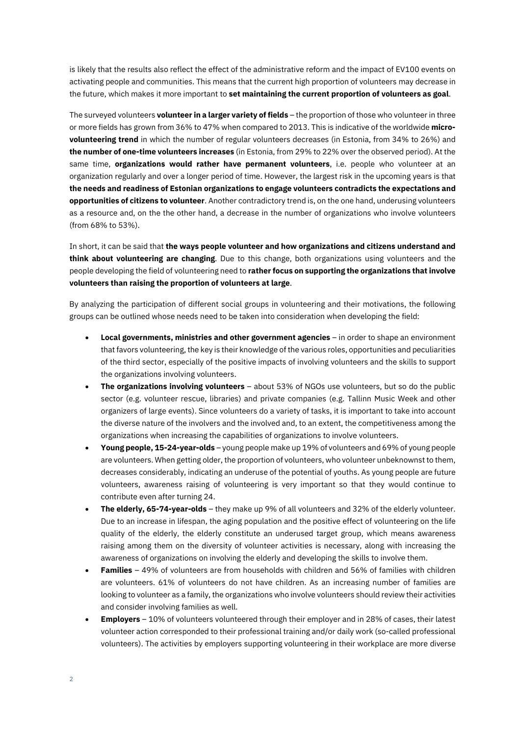is likely that the results also reflect the effect of the administrative reform and the impact of EV100 events on activating people and communities. This means that the current high proportion of volunteers may decrease in the future, which makes it more important to **set maintaining the current proportion of volunteers as goal**.

The surveyed volunteers **volunteer in a larger variety of fields** – the proportion of those who volunteer in three or more fields has grown from 36% to 47% when compared to 2013. This is indicative of the worldwide **microvolunteering trend** in which the number of regular volunteers decreases (in Estonia, from 34% to 26%) and **the number of one-time volunteers increases** (in Estonia, from 29% to 22% over the observed period). At the same time, **organizations would rather have permanent volunteers**, i.e. people who volunteer at an organization regularly and over a longer period of time. However, the largest risk in the upcoming years is that **the needs and readiness of Estonian organizations to engage volunteers contradicts the expectations and opportunities of citizens to volunteer**. Another contradictory trend is, on the one hand, underusing volunteers as a resource and, on the the other hand, a decrease in the number of organizations who involve volunteers (from 68% to 53%).

In short, it can be said that **the ways people volunteer and how organizations and citizens understand and think about volunteering are changing**. Due to this change, both organizations using volunteers and the people developing the field of volunteering need to **rather focus on supporting the organizations that involve volunteers than raising the proportion of volunteers at large**.

By analyzing the participation of different social groups in volunteering and their motivations, the following groups can be outlined whose needs need to be taken into consideration when developing the field:

- **Local governments, ministries and other government agencies** in order to shape an environment that favors volunteering, the key is their knowledge of the various roles, opportunities and peculiarities of the third sector, especially of the positive impacts of involving volunteers and the skills to support the organizations involving volunteers.
- **The organizations involving volunteers** about 53% of NGOs use volunteers, but so do the public sector (e.g. volunteer rescue, libraries) and private companies (e.g. Tallinn Music Week and other organizers of large events). Since volunteers do a variety of tasks, it is important to take into account the diverse nature of the involvers and the involved and, to an extent, the competitiveness among the organizations when increasing the capabilities of organizations to involve volunteers.
- **Young people, 15-24-year-olds** young people make up 19% of volunteers and 69% of young people are volunteers. When getting older, the proportion of volunteers, who volunteer unbeknownst to them, decreases considerably, indicating an underuse of the potential of youths. As young people are future volunteers, awareness raising of volunteering is very important so that they would continue to contribute even after turning 24.
- **The elderly, 65-74-year-olds** they make up 9% of all volunteers and 32% of the elderly volunteer. Due to an increase in lifespan, the aging population and the positive effect of volunteering on the life quality of the elderly, the elderly constitute an underused target group, which means awareness raising among them on the diversity of volunteer activities is necessary, along with increasing the awareness of organizations on involving the elderly and developing the skills to involve them.
- **Families** 49% of volunteers are from households with children and 56% of families with children are volunteers. 61% of volunteers do not have children. As an increasing number of families are looking to volunteer as a family, the organizations who involve volunteers should review their activities and consider involving families as well.
- **Employers** 10% of volunteers volunteered through their employer and in 28% of cases, their latest volunteer action corresponded to their professional training and/or daily work (so-called professional volunteers). The activities by employers supporting volunteering in their workplace are more diverse